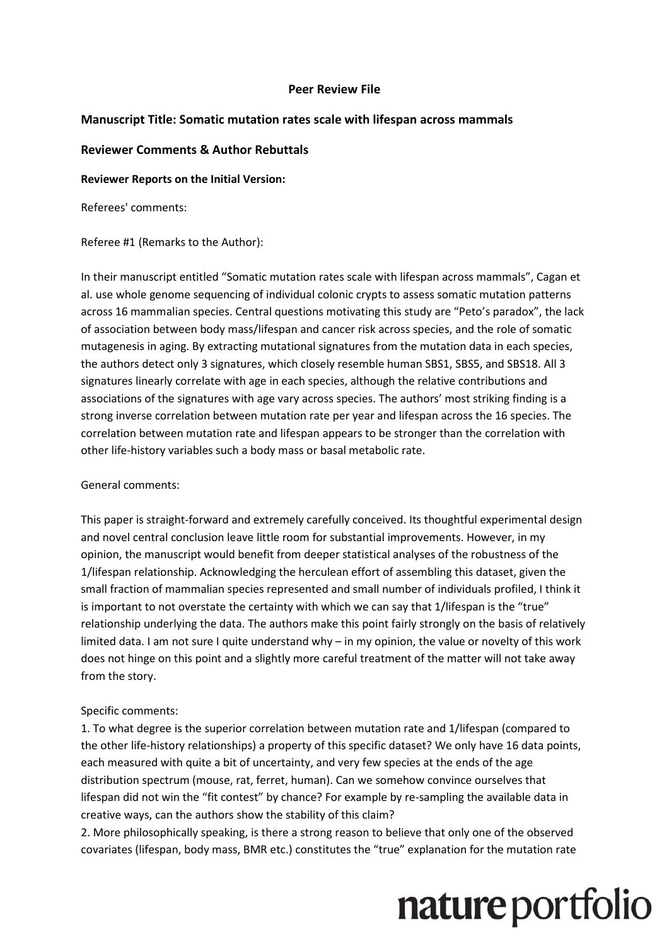### **Peer Review File**

### **Manuscript Title: Somatic mutation rates scale with lifespan across mammals**

### **Reviewer Comments & Author Rebuttals**

#### **Reviewer Reports on the Initial Version:**

Referees' comments:

Referee #1 (Remarks to the Author):

In their manuscript entitled "Somatic mutation rates scale with lifespan across mammals", Cagan et al. use whole genome sequencing of individual colonic crypts to assess somatic mutation patterns across 16 mammalian species. Central questions motivating this study are "Peto's paradox", the lack of association between body mass/lifespan and cancer risk across species, and the role of somatic mutagenesis in aging. By extracting mutational signatures from the mutation data in each species, the authors detect only 3 signatures, which closely resemble human SBS1, SBS5, and SBS18. All 3 signatures linearly correlate with age in each species, although the relative contributions and associations of the signatures with age vary across species. The authors' most striking finding is a strong inverse correlation between mutation rate per year and lifespan across the 16 species. The correlation between mutation rate and lifespan appears to be stronger than the correlation with other life-history variables such a body mass or basal metabolic rate.

### General comments:

This paper is straight-forward and extremely carefully conceived. Its thoughtful experimental design and novel central conclusion leave little room for substantial improvements. However, in my opinion, the manuscript would benefit from deeper statistical analyses of the robustness of the 1/lifespan relationship. Acknowledging the herculean effort of assembling this dataset, given the small fraction of mammalian species represented and small number of individuals profiled, I think it is important to not overstate the certainty with which we can say that 1/lifespan is the "true" relationship underlying the data. The authors make this point fairly strongly on the basis of relatively limited data. I am not sure I quite understand why – in my opinion, the value or novelty of this work does not hinge on this point and a slightly more careful treatment of the matter will not take away from the story.

### Specific comments:

1. To what degree is the superior correlation between mutation rate and 1/lifespan (compared to the other life-history relationships) a property of this specific dataset? We only have 16 data points, each measured with quite a bit of uncertainty, and very few species at the ends of the age distribution spectrum (mouse, rat, ferret, human). Can we somehow convince ourselves that lifespan did not win the "fit contest" by chance? For example by re-sampling the available data in creative ways, can the authors show the stability of this claim?

2. More philosophically speaking, is there a strong reason to believe that only one of the observed covariates (lifespan, body mass, BMR etc.) constitutes the "true" explanation for the mutation rate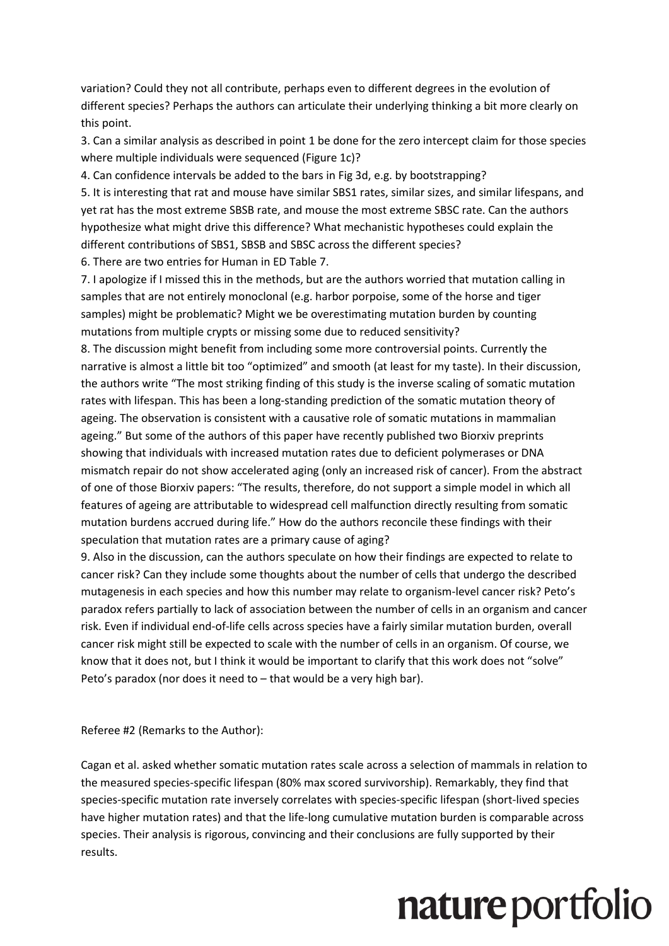variation? Could they not all contribute, perhaps even to different degrees in the evolution of different species? Perhaps the authors can articulate their underlying thinking a bit more clearly on this point.

3. Can a similar analysis as described in point 1 be done for the zero intercept claim for those species where multiple individuals were sequenced (Figure 1c)?

4. Can confidence intervals be added to the bars in Fig 3d, e.g. by bootstrapping?

5. It is interesting that rat and mouse have similar SBS1 rates, similar sizes, and similar lifespans, and yet rat has the most extreme SBSB rate, and mouse the most extreme SBSC rate. Can the authors hypothesize what might drive this difference? What mechanistic hypotheses could explain the different contributions of SBS1, SBSB and SBSC across the different species?

6. There are two entries for Human in ED Table 7.

7. I apologize if I missed this in the methods, but are the authors worried that mutation calling in samples that are not entirely monoclonal (e.g. harbor porpoise, some of the horse and tiger samples) might be problematic? Might we be overestimating mutation burden by counting mutations from multiple crypts or missing some due to reduced sensitivity?

8. The discussion might benefit from including some more controversial points. Currently the narrative is almost a little bit too "optimized" and smooth (at least for my taste). In their discussion, the authors write "The most striking finding of this study is the inverse scaling of somatic mutation rates with lifespan. This has been a long-standing prediction of the somatic mutation theory of ageing. The observation is consistent with a causative role of somatic mutations in mammalian ageing." But some of the authors of this paper have recently published two Biorxiv preprints showing that individuals with increased mutation rates due to deficient polymerases or DNA mismatch repair do not show accelerated aging (only an increased risk of cancer). From the abstract of one of those Biorxiv papers: "The results, therefore, do not support a simple model in which all features of ageing are attributable to widespread cell malfunction directly resulting from somatic mutation burdens accrued during life." How do the authors reconcile these findings with their speculation that mutation rates are a primary cause of aging?

9. Also in the discussion, can the authors speculate on how their findings are expected to relate to cancer risk? Can they include some thoughts about the number of cells that undergo the described mutagenesis in each species and how this number may relate to organism-level cancer risk? Peto's paradox refers partially to lack of association between the number of cells in an organism and cancer risk. Even if individual end-of-life cells across species have a fairly similar mutation burden, overall cancer risk might still be expected to scale with the number of cells in an organism. Of course, we know that it does not, but I think it would be important to clarify that this work does not "solve" Peto's paradox (nor does it need to – that would be a very high bar).

Referee #2 (Remarks to the Author):

Cagan et al. asked whether somatic mutation rates scale across a selection of mammals in relation to the measured species-specific lifespan (80% max scored survivorship). Remarkably, they find that species-specific mutation rate inversely correlates with species-specific lifespan (short-lived species have higher mutation rates) and that the life-long cumulative mutation burden is comparable across species. Their analysis is rigorous, convincing and their conclusions are fully supported by their results.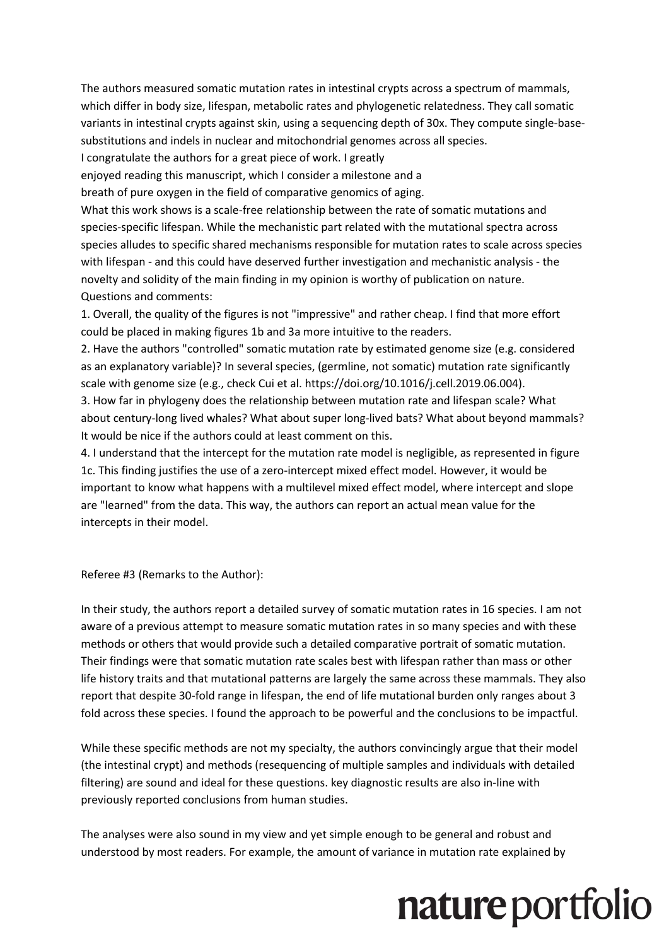The authors measured somatic mutation rates in intestinal crypts across a spectrum of mammals, which differ in body size, lifespan, metabolic rates and phylogenetic relatedness. They call somatic variants in intestinal crypts against skin, using a sequencing depth of 30x. They compute single-basesubstitutions and indels in nuclear and mitochondrial genomes across all species.

I congratulate the authors for a great piece of work. I greatly

enjoyed reading this manuscript, which I consider a milestone and a

breath of pure oxygen in the field of comparative genomics of aging.

What this work shows is a scale-free relationship between the rate of somatic mutations and species-specific lifespan. While the mechanistic part related with the mutational spectra across species alludes to specific shared mechanisms responsible for mutation rates to scale across species with lifespan - and this could have deserved further investigation and mechanistic analysis - the novelty and solidity of the main finding in my opinion is worthy of publication on nature. Questions and comments:

1. Overall, the quality of the figures is not "impressive" and rather cheap. I find that more effort could be placed in making figures 1b and 3a more intuitive to the readers.

2. Have the authors "controlled" somatic mutation rate by estimated genome size (e.g. considered as an explanatory variable)? In several species, (germline, not somatic) mutation rate significantly scale with genome size (e.g., check Cui et al. https://doi.org/10.1016/j.cell.2019.06.004).

3. How far in phylogeny does the relationship between mutation rate and lifespan scale? What about century-long lived whales? What about super long-lived bats? What about beyond mammals? It would be nice if the authors could at least comment on this.

4. I understand that the intercept for the mutation rate model is negligible, as represented in figure 1c. This finding justifies the use of a zero-intercept mixed effect model. However, it would be important to know what happens with a multilevel mixed effect model, where intercept and slope are "learned" from the data. This way, the authors can report an actual mean value for the intercepts in their model.

Referee #3 (Remarks to the Author):

In their study, the authors report a detailed survey of somatic mutation rates in 16 species. I am not aware of a previous attempt to measure somatic mutation rates in so many species and with these methods or others that would provide such a detailed comparative portrait of somatic mutation. Their findings were that somatic mutation rate scales best with lifespan rather than mass or other life history traits and that mutational patterns are largely the same across these mammals. They also report that despite 30-fold range in lifespan, the end of life mutational burden only ranges about 3 fold across these species. I found the approach to be powerful and the conclusions to be impactful.

While these specific methods are not my specialty, the authors convincingly argue that their model (the intestinal crypt) and methods (resequencing of multiple samples and individuals with detailed filtering) are sound and ideal for these questions. key diagnostic results are also in-line with previously reported conclusions from human studies.

The analyses were also sound in my view and yet simple enough to be general and robust and understood by most readers. For example, the amount of variance in mutation rate explained by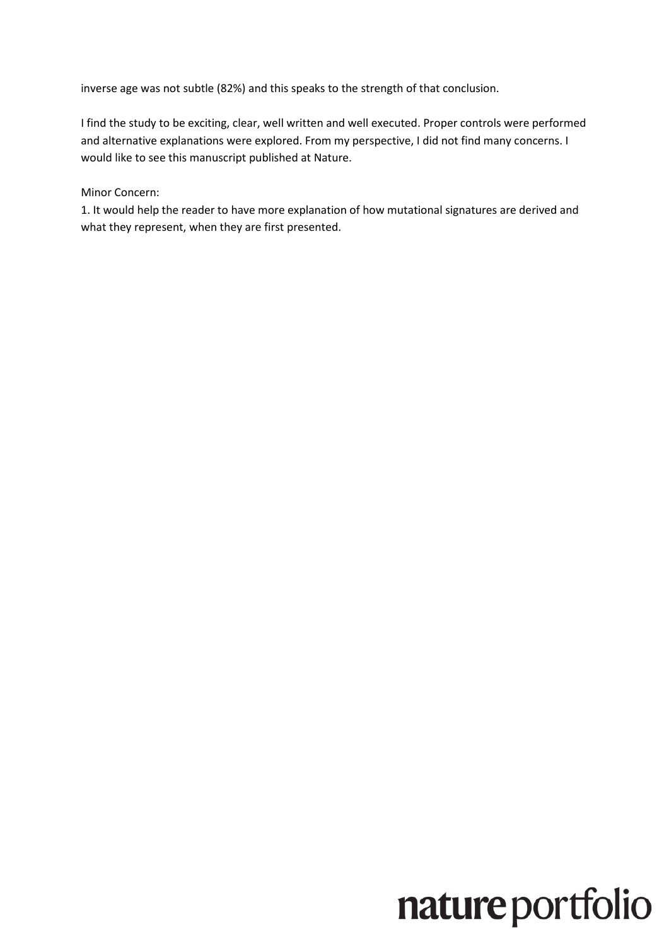inverse age was not subtle (82%) and this speaks to the strength of that conclusion.

I find the study to be exciting, clear, well written and well executed. Proper controls were performed and alternative explanations were explored. From my perspective, I did not find many concerns. I would like to see this manuscript published at Nature.

Minor Concern:

1. It would help the reader to have more explanation of how mutational signatures are derived and what they represent, when they are first presented.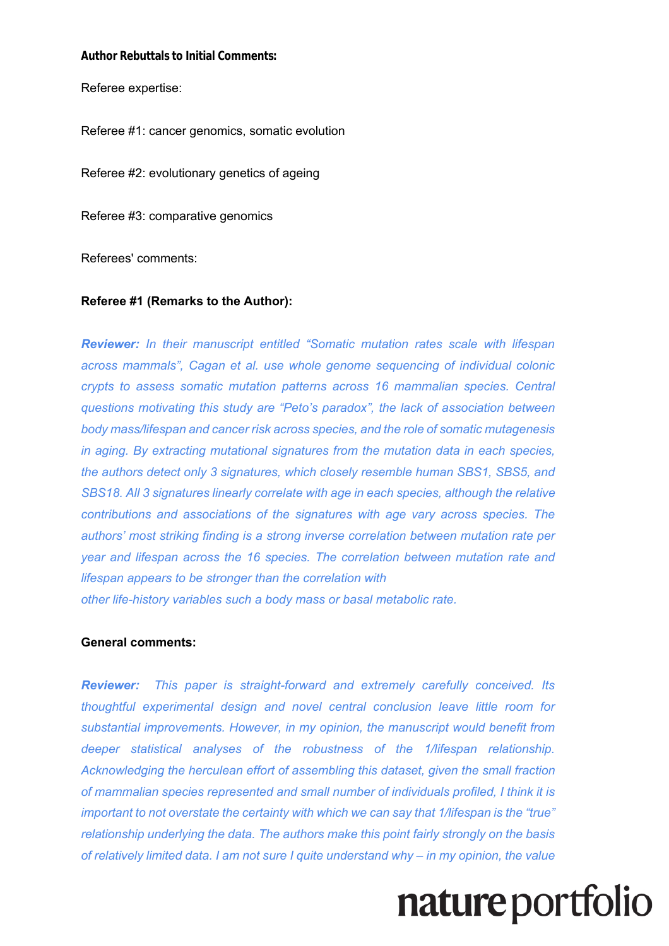#### **Author Rebuttals to Initial Comments:**

Referee expertise:

Referee #1: cancer genomics, somatic evolution

Referee #2: evolutionary genetics of ageing

Referee #3: comparative genomics

Referees' comments:

#### **Referee #1 (Remarks to the Author):**

*Reviewer: In their manuscript entitled "Somatic mutation rates scale with lifespan across mammals", Cagan et al. use whole genome sequencing of individual colonic crypts to assess somatic mutation patterns across 16 mammalian species. Central questions motivating this study are "Peto's paradox", the lack of association between body mass/lifespan and cancer risk across species, and the role of somatic mutagenesis in aging. By extracting mutational signatures from the mutation data in each species, the authors detect only 3 signatures, which closely resemble human SBS1, SBS5, and SBS18. All 3 signatures linearly correlate with age in each species, although the relative contributions and associations of the signatures with age vary across species. The authors' most striking finding is a strong inverse correlation between mutation rate per year and lifespan across the 16 species. The correlation between mutation rate and lifespan appears to be stronger than the correlation with other life-history variables such a body mass or basal metabolic rate.*

#### **General comments:**

*Reviewer: This paper is straight-forward and extremely carefully conceived. Its thoughtful experimental design and novel central conclusion leave little room for substantial improvements. However, in my opinion, the manuscript would benefit from deeper statistical analyses of the robustness of the 1/lifespan relationship. Acknowledging the herculean effort of assembling this dataset, given the small fraction of mammalian species represented and small number of individuals profiled, I think it is important to not overstate the certainty with which we can say that 1/lifespan is the "true" relationship underlying the data. The authors make this point fairly strongly on the basis of relatively limited data. I am not sure I quite understand why – in my opinion, the value*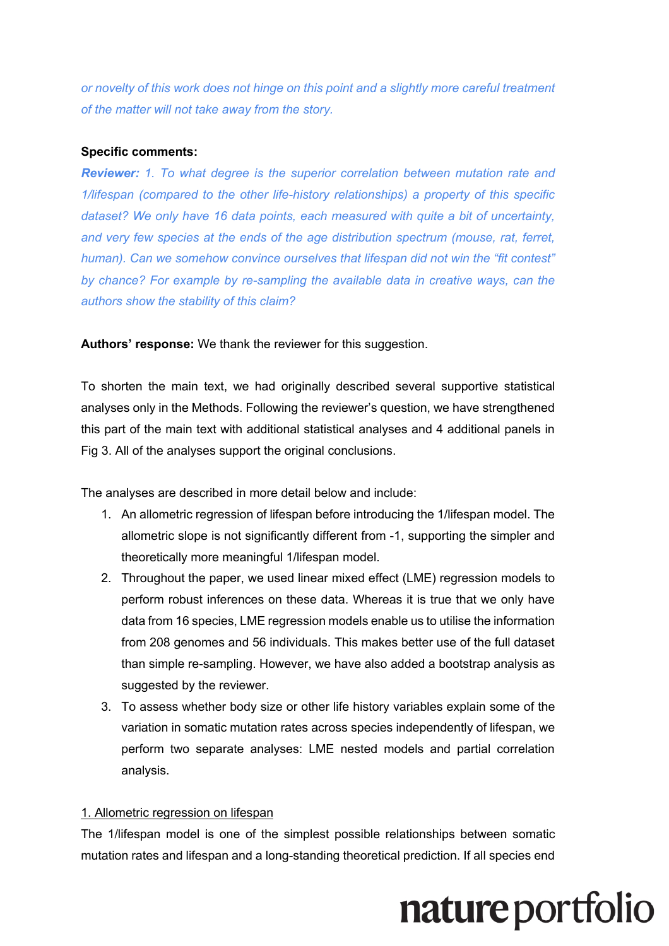*or novelty of this work does not hinge on this point and a slightly more careful treatment of the matter will not take away from the story.*

### **Specific comments:**

*Reviewer: 1. To what degree is the superior correlation between mutation rate and 1/lifespan (compared to the other life-history relationships) a property of this specific dataset? We only have 16 data points, each measured with quite a bit of uncertainty, and very few species at the ends of the age distribution spectrum (mouse, rat, ferret, human). Can we somehow convince ourselves that lifespan did not win the "fit contest" by chance? For example by re-sampling the available data in creative ways, can the authors show the stability of this claim?* 

**Authors' response:** We thank the reviewer for this suggestion.

To shorten the main text, we had originally described several supportive statistical analyses only in the Methods. Following the reviewer's question, we have strengthened this part of the main text with additional statistical analyses and 4 additional panels in Fig 3. All of the analyses support the original conclusions.

The analyses are described in more detail below and include:

- 1. An allometric regression of lifespan before introducing the 1/lifespan model. The allometric slope is not significantly different from -1, supporting the simpler and theoretically more meaningful 1/lifespan model.
- 2. Throughout the paper, we used linear mixed effect (LME) regression models to perform robust inferences on these data. Whereas it is true that we only have data from 16 species, LME regression models enable us to utilise the information from 208 genomes and 56 individuals. This makes better use of the full dataset than simple re-sampling. However, we have also added a bootstrap analysis as suggested by the reviewer.
- 3. To assess whether body size or other life history variables explain some of the variation in somatic mutation rates across species independently of lifespan, we perform two separate analyses: LME nested models and partial correlation analysis.

### 1. Allometric regression on lifespan

The 1/lifespan model is one of the simplest possible relationships between somatic mutation rates and lifespan and a long-standing theoretical prediction. If all species end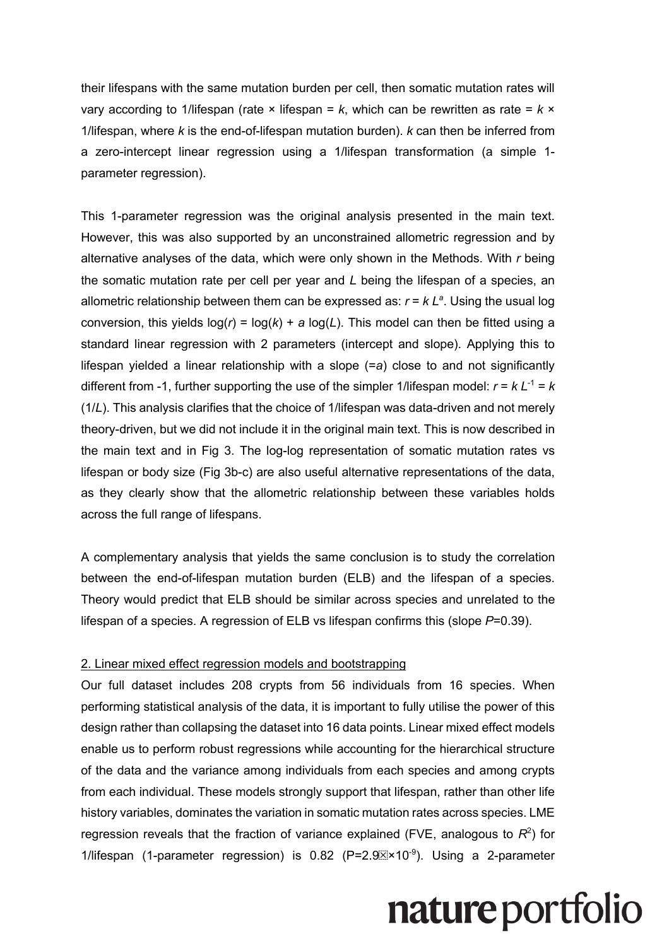their lifespans with the same mutation burden per cell, then somatic mutation rates will vary according to 1/lifespan (rate  $\times$  lifespan =  $k$ , which can be rewritten as rate =  $k \times$ 1/lifespan, where *k* is the end-of-lifespan mutation burden). *k* can then be inferred from a zero-intercept linear regression using a 1/lifespan transformation (a simple 1 parameter regression).

This 1-parameter regression was the original analysis presented in the main text. However, this was also supported by an unconstrained allometric regression and by alternative analyses of the data, which were only shown in the Methods. With *r* being the somatic mutation rate per cell per year and *L* being the lifespan of a species, an allometric relationship between them can be expressed as:  $r = k L<sup>a</sup>$ . Using the usual log conversion, this yields  $log(r) = log(k) + a log(L)$ . This model can then be fitted using a standard linear regression with 2 parameters (intercept and slope). Applying this to lifespan yielded a linear relationship with a slope (=*a*) close to and not significantly different from -1, further supporting the use of the simpler 1/lifespan model:  $r = k L^{-1} = k$ (1/*L*). This analysis clarifies that the choice of 1/lifespan was data-driven and not merely theory-driven, but we did not include it in the original main text. This is now described in the main text and in Fig 3. The log-log representation of somatic mutation rates vs lifespan or body size (Fig 3b-c) are also useful alternative representations of the data, as they clearly show that the allometric relationship between these variables holds across the full range of lifespans.

A complementary analysis that yields the same conclusion is to study the correlation between the end-of-lifespan mutation burden (ELB) and the lifespan of a species. Theory would predict that ELB should be similar across species and unrelated to the lifespan of a species. A regression of ELB vs lifespan confirms this (slope *P*=0.39).

### 2. Linear mixed effect regression models and bootstrapping

Our full dataset includes 208 crypts from 56 individuals from 16 species. When performing statistical analysis of the data, it is important to fully utilise the power of this design rather than collapsing the dataset into 16 data points. Linear mixed effect models enable us to perform robust regressions while accounting for the hierarchical structure of the data and the variance among individuals from each species and among crypts from each individual. These models strongly support that lifespan, rather than other life history variables, dominates the variation in somatic mutation rates across species. LME regression reveals that the fraction of variance explained (FVE, analogous to  $R^2$ ) for 1/lifespan (1-parameter regression) is 0.82 ( $P=2.9$  $\times$ x10<sup>-9</sup>). Using a 2-parameter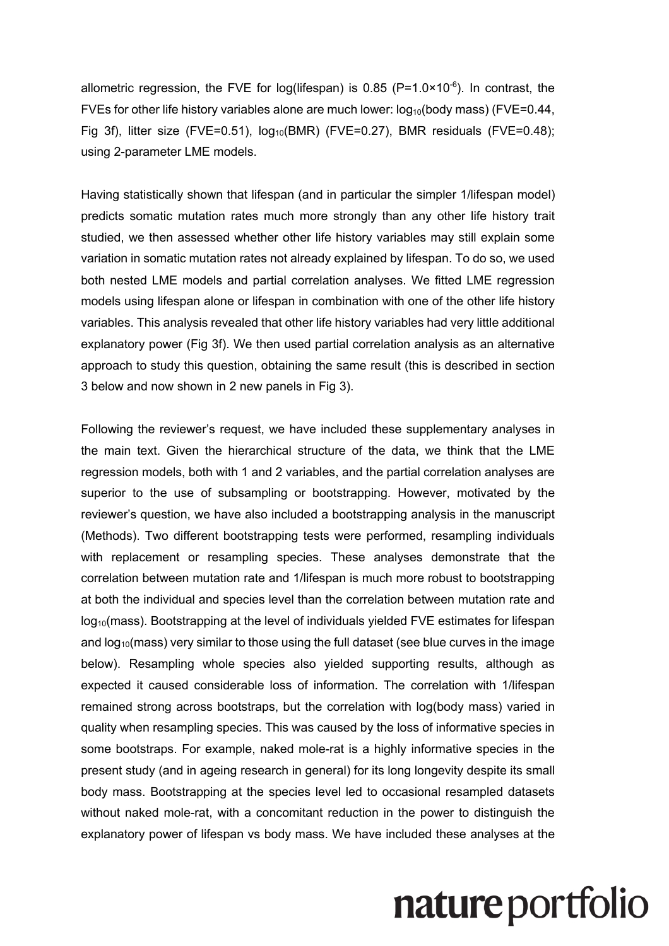allometric regression, the FVE for log(lifespan) is 0.85 (P=1.0×10<sup>-6</sup>). In contrast, the FVEs for other life history variables alone are much lower:  $log_{10}(body \, mass)$  (FVE=0.44, Fig 3f), litter size (FVE=0.51),  $log_{10}(BMR)$  (FVE=0.27), BMR residuals (FVE=0.48); using 2-parameter LME models.

Having statistically shown that lifespan (and in particular the simpler 1/lifespan model) predicts somatic mutation rates much more strongly than any other life history trait studied, we then assessed whether other life history variables may still explain some variation in somatic mutation rates not already explained by lifespan. To do so, we used both nested LME models and partial correlation analyses. We fitted LME regression models using lifespan alone or lifespan in combination with one of the other life history variables. This analysis revealed that other life history variables had very little additional explanatory power (Fig 3f). We then used partial correlation analysis as an alternative approach to study this question, obtaining the same result (this is described in section 3 below and now shown in 2 new panels in Fig 3).

Following the reviewer's request, we have included these supplementary analyses in the main text. Given the hierarchical structure of the data, we think that the LME regression models, both with 1 and 2 variables, and the partial correlation analyses are superior to the use of subsampling or bootstrapping. However, motivated by the reviewer's question, we have also included a bootstrapping analysis in the manuscript (Methods). Two different bootstrapping tests were performed, resampling individuals with replacement or resampling species. These analyses demonstrate that the correlation between mutation rate and 1/lifespan is much more robust to bootstrapping at both the individual and species level than the correlation between mutation rate and  $log<sub>10</sub>(mass)$ . Bootstrapping at the level of individuals yielded FVE estimates for lifespan and  $log<sub>10</sub>(mass)$  very similar to those using the full dataset (see blue curves in the image below). Resampling whole species also yielded supporting results, although as expected it caused considerable loss of information. The correlation with 1/lifespan remained strong across bootstraps, but the correlation with log(body mass) varied in quality when resampling species. This was caused by the loss of informative species in some bootstraps. For example, naked mole-rat is a highly informative species in the present study (and in ageing research in general) for its long longevity despite its small body mass. Bootstrapping at the species level led to occasional resampled datasets without naked mole-rat, with a concomitant reduction in the power to distinguish the explanatory power of lifespan vs body mass. We have included these analyses at the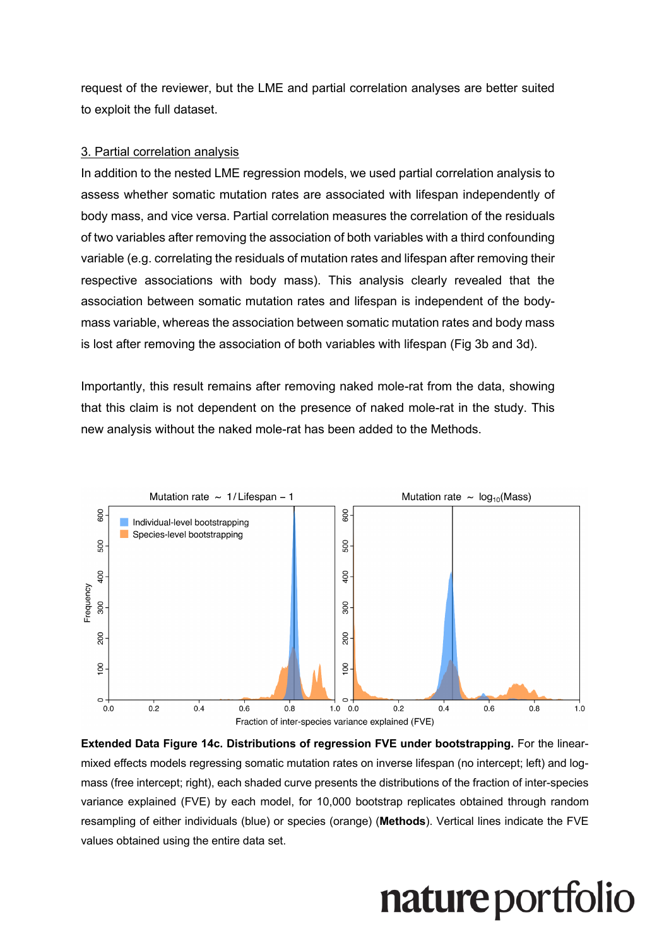request of the reviewer, but the LME and partial correlation analyses are better suited to exploit the full dataset.

#### 3. Partial correlation analysis

In addition to the nested LME regression models, we used partial correlation analysis to assess whether somatic mutation rates are associated with lifespan independently of body mass, and vice versa. Partial correlation measures the correlation of the residuals of two variables after removing the association of both variables with a third confounding variable (e.g. correlating the residuals of mutation rates and lifespan after removing their respective associations with body mass). This analysis clearly revealed that the association between somatic mutation rates and lifespan is independent of the bodymass variable, whereas the association between somatic mutation rates and body mass is lost after removing the association of both variables with lifespan (Fig 3b and 3d).

Importantly, this result remains after removing naked mole-rat from the data, showing that this claim is not dependent on the presence of naked mole-rat in the study. This new analysis without the naked mole-rat has been added to the Methods.



**Extended Data Figure 14c. Distributions of regression FVE under bootstrapping.** For the linearmixed effects models regressing somatic mutation rates on inverse lifespan (no intercept; left) and logmass (free intercept; right), each shaded curve presents the distributions of the fraction of inter-species variance explained (FVE) by each model, for 10,000 bootstrap replicates obtained through random resampling of either individuals (blue) or species (orange) (**Methods**). Vertical lines indicate the FVE values obtained using the entire data set.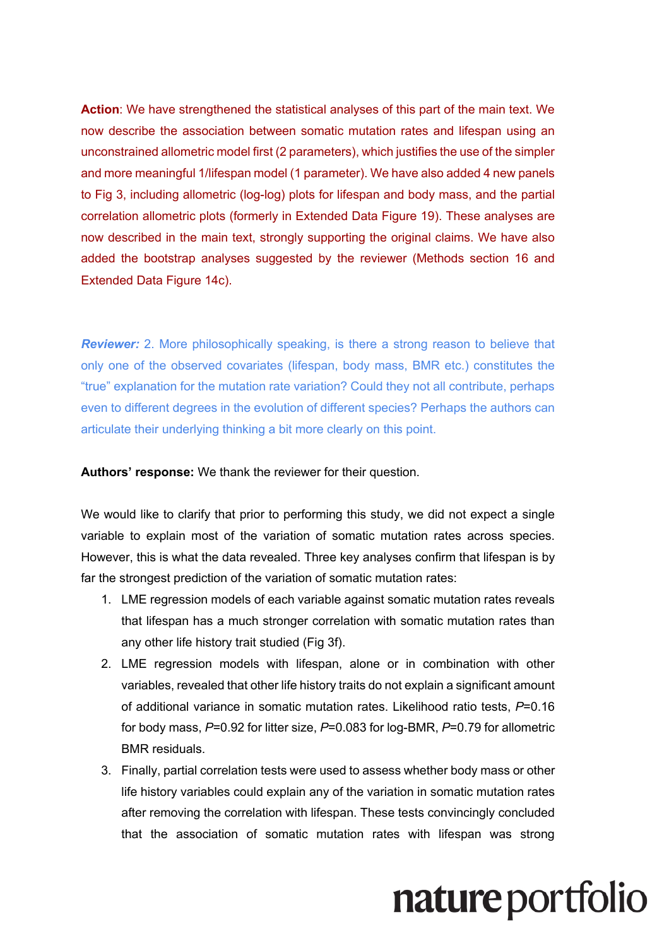**Action**: We have strengthened the statistical analyses of this part of the main text. We now describe the association between somatic mutation rates and lifespan using an unconstrained allometric model first (2 parameters), which justifies the use of the simpler and more meaningful 1/lifespan model (1 parameter). We have also added 4 new panels to Fig 3, including allometric (log-log) plots for lifespan and body mass, and the partial correlation allometric plots (formerly in Extended Data Figure 19). These analyses are now described in the main text, strongly supporting the original claims. We have also added the bootstrap analyses suggested by the reviewer (Methods section 16 and Extended Data Figure 14c).

**Reviewer:** 2. More philosophically speaking, is there a strong reason to believe that only one of the observed covariates (lifespan, body mass, BMR etc.) constitutes the "true" explanation for the mutation rate variation? Could they not all contribute, perhaps even to different degrees in the evolution of different species? Perhaps the authors can articulate their underlying thinking a bit more clearly on this point.

**Authors' response:** We thank the reviewer for their question.

We would like to clarify that prior to performing this study, we did not expect a single variable to explain most of the variation of somatic mutation rates across species. However, this is what the data revealed. Three key analyses confirm that lifespan is by far the strongest prediction of the variation of somatic mutation rates:

- 1. LME regression models of each variable against somatic mutation rates reveals that lifespan has a much stronger correlation with somatic mutation rates than any other life history trait studied (Fig 3f).
- 2. LME regression models with lifespan, alone or in combination with other variables, revealed that other life history traits do not explain a significant amount of additional variance in somatic mutation rates. Likelihood ratio tests, *P*=0.16 for body mass, *P*=0.92 for litter size, *P*=0.083 for log-BMR, *P*=0.79 for allometric BMR residuals.
- 3. Finally, partial correlation tests were used to assess whether body mass or other life history variables could explain any of the variation in somatic mutation rates after removing the correlation with lifespan. These tests convincingly concluded that the association of somatic mutation rates with lifespan was strong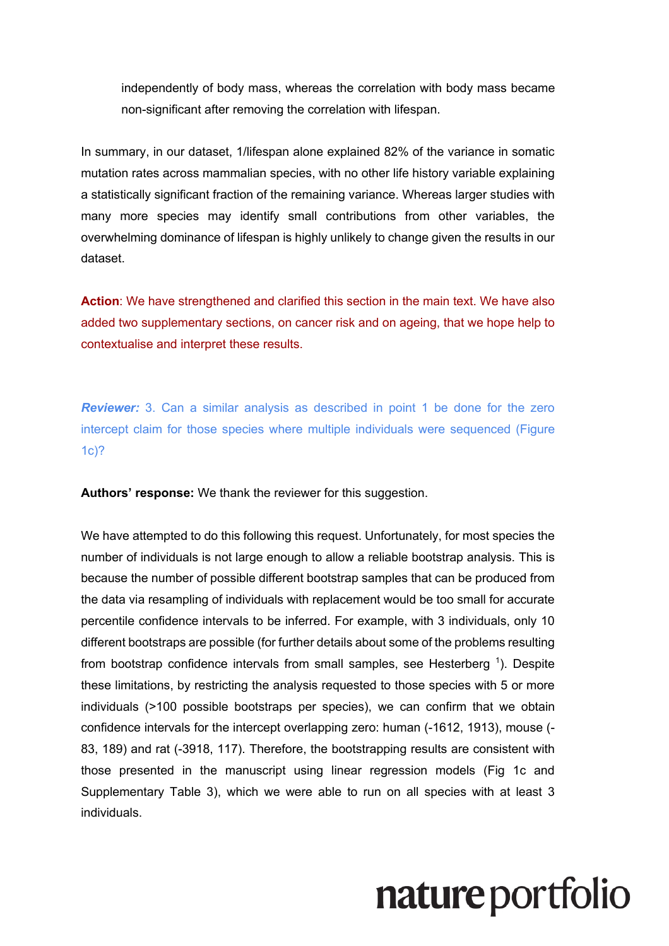independently of body mass, whereas the correlation with body mass became non-significant after removing the correlation with lifespan.

In summary, in our dataset, 1/lifespan alone explained 82% of the variance in somatic mutation rates across mammalian species, with no other life history variable explaining a statistically significant fraction of the remaining variance. Whereas larger studies with many more species may identify small contributions from other variables, the overwhelming dominance of lifespan is highly unlikely to change given the results in our dataset.

**Action**: We have strengthened and clarified this section in the main text. We have also added two supplementary sections, on cancer risk and on ageing, that we hope help to contextualise and interpret these results.

*Reviewer:* 3. Can a similar analysis as described in point 1 be done for the zero intercept claim for those species where multiple individuals were sequenced (Figure 1c)?

**Authors' response:** We thank the reviewer for this suggestion.

We have attempted to do this following this request. Unfortunately, for most species the number of individuals is not large enough to allow a reliable bootstrap analysis. This is because the number of possible different bootstrap samples that can be produced from the data via resampling of individuals with replacement would be too small for accurate percentile confidence intervals to be inferred. For example, with 3 individuals, only 10 different bootstraps are possible (for further details about some of the problems resulting from bootstrap confidence intervals from small samples, see Hesterberg  $^1$ ). Despite these limitations, by restricting the analysis requested to those species with 5 or more individuals (>100 possible bootstraps per species), we can confirm that we obtain confidence intervals for the intercept overlapping zero: human (-1612, 1913), mouse (- 83, 189) and rat (-3918, 117). Therefore, the bootstrapping results are consistent with those presented in the manuscript using linear regression models (Fig 1c and Supplementary Table 3), which we were able to run on all species with at least 3 individuals.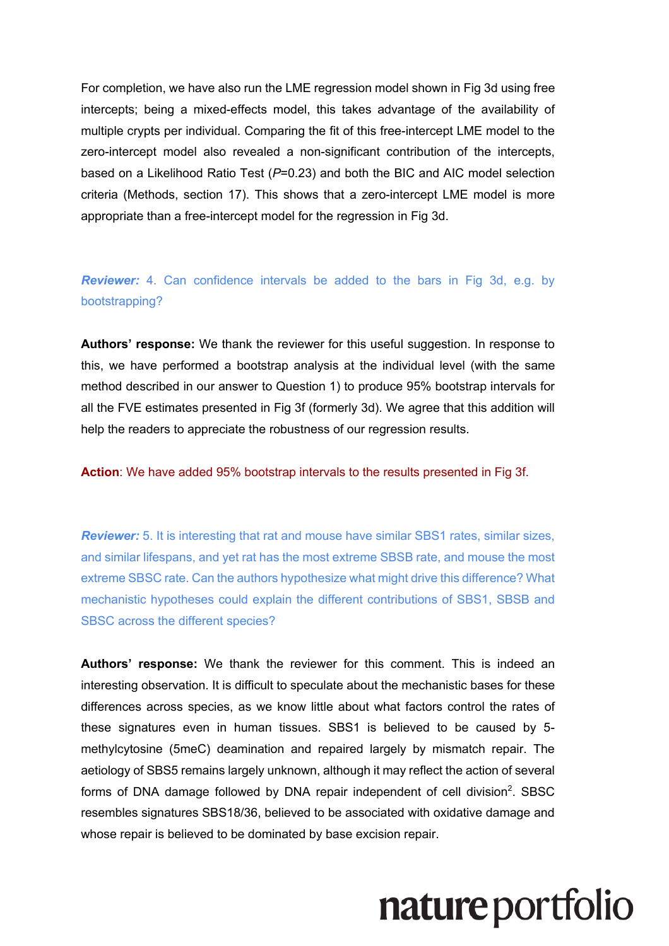For completion, we have also run the LME regression model shown in Fig 3d using free intercepts; being a mixed-effects model, this takes advantage of the availability of multiple crypts per individual. Comparing the fit of this free-intercept LME model to the zero-intercept model also revealed a non-significant contribution of the intercepts, based on a Likelihood Ratio Test (*P*=0.23) and both the BIC and AIC model selection criteria (Methods, section 17). This shows that a zero-intercept LME model is more appropriate than a free-intercept model for the regression in Fig 3d.

*Reviewer:* 4. Can confidence intervals be added to the bars in Fig 3d, e.g. by bootstrapping?

**Authors' response:** We thank the reviewer for this useful suggestion. In response to this, we have performed a bootstrap analysis at the individual level (with the same method described in our answer to Question 1) to produce 95% bootstrap intervals for all the FVE estimates presented in Fig 3f (formerly 3d). We agree that this addition will help the readers to appreciate the robustness of our regression results.

**Action**: We have added 95% bootstrap intervals to the results presented in Fig 3f.

*Reviewer:* 5. It is interesting that rat and mouse have similar SBS1 rates, similar sizes, and similar lifespans, and yet rat has the most extreme SBSB rate, and mouse the most extreme SBSC rate. Can the authors hypothesize what might drive this difference? What mechanistic hypotheses could explain the different contributions of SBS1, SBSB and SBSC across the different species?

**Authors' response:** We thank the reviewer for this comment. This is indeed an interesting observation. It is difficult to speculate about the mechanistic bases for these differences across species, as we know little about what factors control the rates of these signatures even in human tissues. SBS1 is believed to be caused by 5 methylcytosine (5meC) deamination and repaired largely by mismatch repair. The aetiology of SBS5 remains largely unknown, although it may reflect the action of several forms of DNA damage followed by DNA repair independent of cell division<sup>2</sup>. SBSC resembles signatures SBS18/36, believed to be associated with oxidative damage and whose repair is believed to be dominated by base excision repair.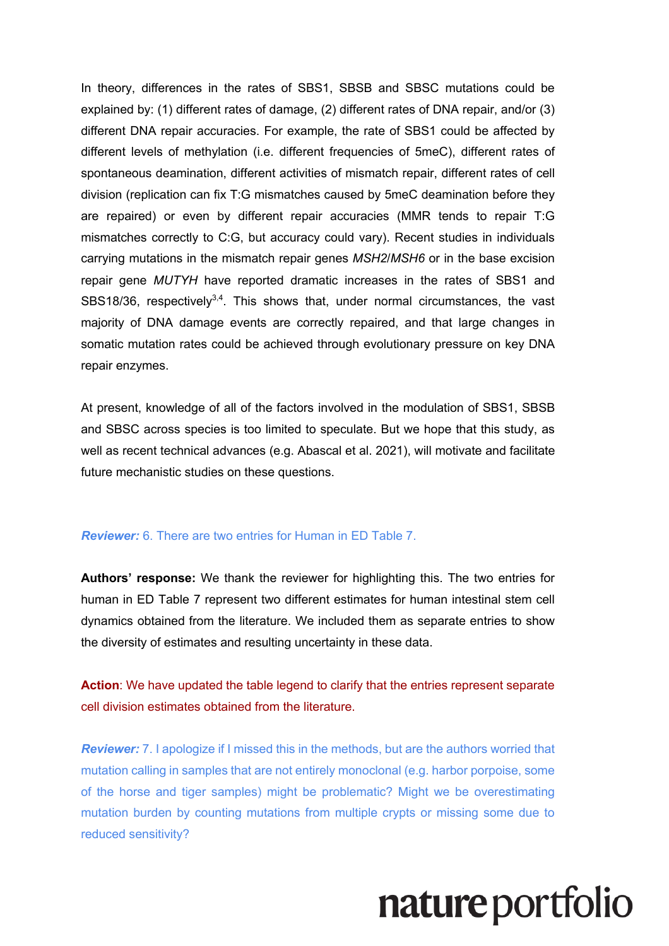In theory, differences in the rates of SBS1, SBSB and SBSC mutations could be explained by: (1) different rates of damage, (2) different rates of DNA repair, and/or (3) different DNA repair accuracies. For example, the rate of SBS1 could be affected by different levels of methylation (i.e. different frequencies of 5meC), different rates of spontaneous deamination, different activities of mismatch repair, different rates of cell division (replication can fix T:G mismatches caused by 5meC deamination before they are repaired) or even by different repair accuracies (MMR tends to repair T:G mismatches correctly to C:G, but accuracy could vary). Recent studies in individuals carrying mutations in the mismatch repair genes *MSH2*/*MSH6* or in the base excision repair gene *MUTYH* have reported dramatic increases in the rates of SBS1 and SBS18/36, respectively<sup>3,4</sup>. This shows that, under normal circumstances, the vast majority of DNA damage events are correctly repaired, and that large changes in somatic mutation rates could be achieved through evolutionary pressure on key DNA repair enzymes.

At present, knowledge of all of the factors involved in the modulation of SBS1, SBSB and SBSC across species is too limited to speculate. But we hope that this study, as well as recent technical advances (e.g. Abascal et al. 2021), will motivate and facilitate future mechanistic studies on these questions.

### *Reviewer:* 6. There are two entries for Human in ED Table 7.

**Authors' response:** We thank the reviewer for highlighting this. The two entries for human in ED Table 7 represent two different estimates for human intestinal stem cell dynamics obtained from the literature. We included them as separate entries to show the diversity of estimates and resulting uncertainty in these data.

**Action**: We have updated the table legend to clarify that the entries represent separate cell division estimates obtained from the literature.

*Reviewer:* 7. I apologize if I missed this in the methods, but are the authors worried that mutation calling in samples that are not entirely monoclonal (e.g. harbor porpoise, some of the horse and tiger samples) might be problematic? Might we be overestimating mutation burden by counting mutations from multiple crypts or missing some due to reduced sensitivity?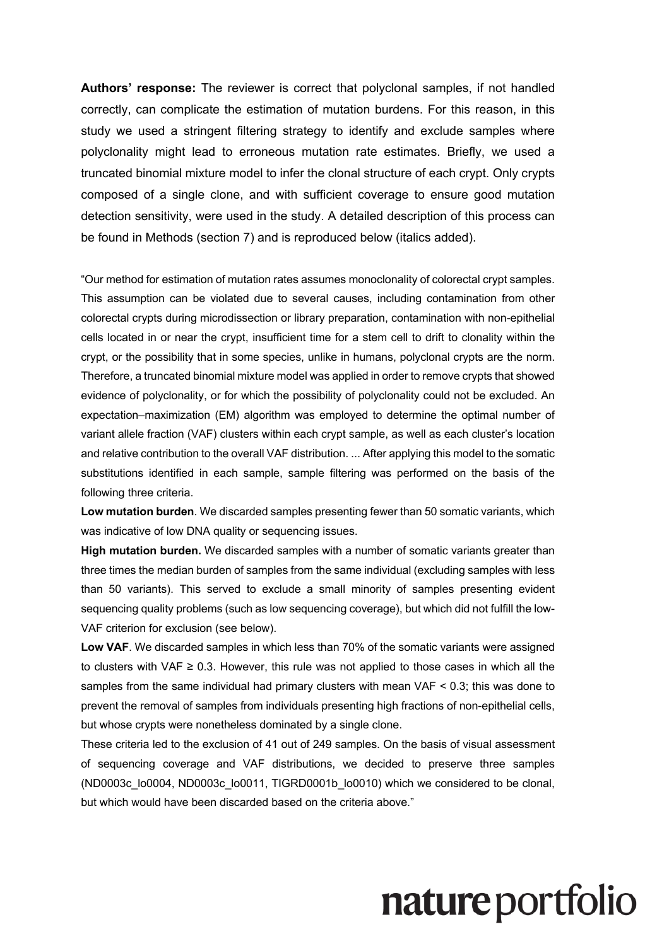**Authors' response:** The reviewer is correct that polyclonal samples, if not handled correctly, can complicate the estimation of mutation burdens. For this reason, in this study we used a stringent filtering strategy to identify and exclude samples where polyclonality might lead to erroneous mutation rate estimates. Briefly, we used a truncated binomial mixture model to infer the clonal structure of each crypt. Only crypts composed of a single clone, and with sufficient coverage to ensure good mutation detection sensitivity, were used in the study. A detailed description of this process can be found in Methods (section 7) and is reproduced below (italics added).

"Our method for estimation of mutation rates assumes monoclonality of colorectal crypt samples. This assumption can be violated due to several causes, including contamination from other colorectal crypts during microdissection or library preparation, contamination with non-epithelial cells located in or near the crypt, insufficient time for a stem cell to drift to clonality within the crypt, or the possibility that in some species, unlike in humans, polyclonal crypts are the norm. Therefore, a truncated binomial mixture model was applied in order to remove crypts that showed evidence of polyclonality, or for which the possibility of polyclonality could not be excluded. An expectation–maximization (EM) algorithm was employed to determine the optimal number of variant allele fraction (VAF) clusters within each crypt sample, as well as each cluster's location and relative contribution to the overall VAF distribution. ... After applying this model to the somatic substitutions identified in each sample, sample filtering was performed on the basis of the following three criteria.

**Low mutation burden.** We discarded samples presenting fewer than 50 somatic variants, which was indicative of low DNA quality or sequencing issues.

**High mutation burden.** We discarded samples with a number of somatic variants greater than three times the median burden of samples from the same individual (excluding samples with less than 50 variants). This served to exclude a small minority of samples presenting evident sequencing quality problems (such as low sequencing coverage), but which did not fulfill the low-VAF criterion for exclusion (see below).

**Low VAF**. We discarded samples in which less than 70% of the somatic variants were assigned to clusters with VAF  $\geq$  0.3. However, this rule was not applied to those cases in which all the samples from the same individual had primary clusters with mean VAF < 0.3; this was done to prevent the removal of samples from individuals presenting high fractions of non-epithelial cells, but whose crypts were nonetheless dominated by a single clone.

These criteria led to the exclusion of 41 out of 249 samples. On the basis of visual assessment of sequencing coverage and VAF distributions, we decided to preserve three samples (ND0003c\_lo0004, ND0003c\_lo0011, TIGRD0001b\_lo0010) which we considered to be clonal, but which would have been discarded based on the criteria above."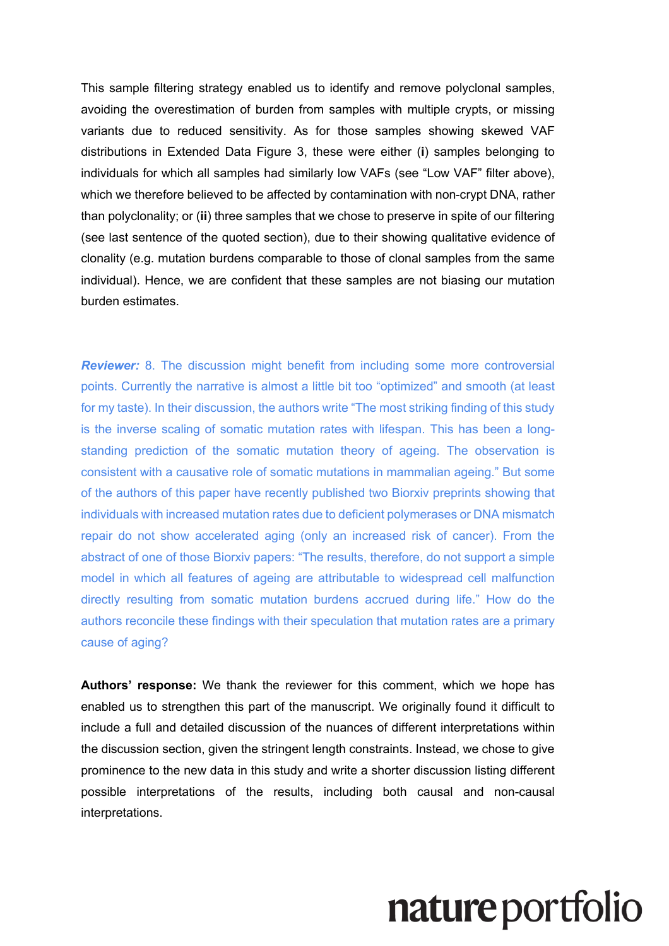This sample filtering strategy enabled us to identify and remove polyclonal samples, avoiding the overestimation of burden from samples with multiple crypts, or missing variants due to reduced sensitivity. As for those samples showing skewed VAF distributions in Extended Data Figure 3, these were either (**i**) samples belonging to individuals for which all samples had similarly low VAFs (see "Low VAF" filter above), which we therefore believed to be affected by contamination with non-crypt DNA, rather than polyclonality; or (**ii**) three samples that we chose to preserve in spite of our filtering (see last sentence of the quoted section), due to their showing qualitative evidence of clonality (e.g. mutation burdens comparable to those of clonal samples from the same individual). Hence, we are confident that these samples are not biasing our mutation burden estimates.

*Reviewer:* 8. The discussion might benefit from including some more controversial points. Currently the narrative is almost a little bit too "optimized" and smooth (at least for my taste). In their discussion, the authors write "The most striking finding of this study is the inverse scaling of somatic mutation rates with lifespan. This has been a longstanding prediction of the somatic mutation theory of ageing. The observation is consistent with a causative role of somatic mutations in mammalian ageing." But some of the authors of this paper have recently published two Biorxiv preprints showing that individuals with increased mutation rates due to deficient polymerases or DNA mismatch repair do not show accelerated aging (only an increased risk of cancer). From the abstract of one of those Biorxiv papers: "The results, therefore, do not support a simple model in which all features of ageing are attributable to widespread cell malfunction directly resulting from somatic mutation burdens accrued during life." How do the authors reconcile these findings with their speculation that mutation rates are a primary cause of aging?

**Authors' response:** We thank the reviewer for this comment, which we hope has enabled us to strengthen this part of the manuscript. We originally found it difficult to include a full and detailed discussion of the nuances of different interpretations within the discussion section, given the stringent length constraints. Instead, we chose to give prominence to the new data in this study and write a shorter discussion listing different possible interpretations of the results, including both causal and non-causal interpretations.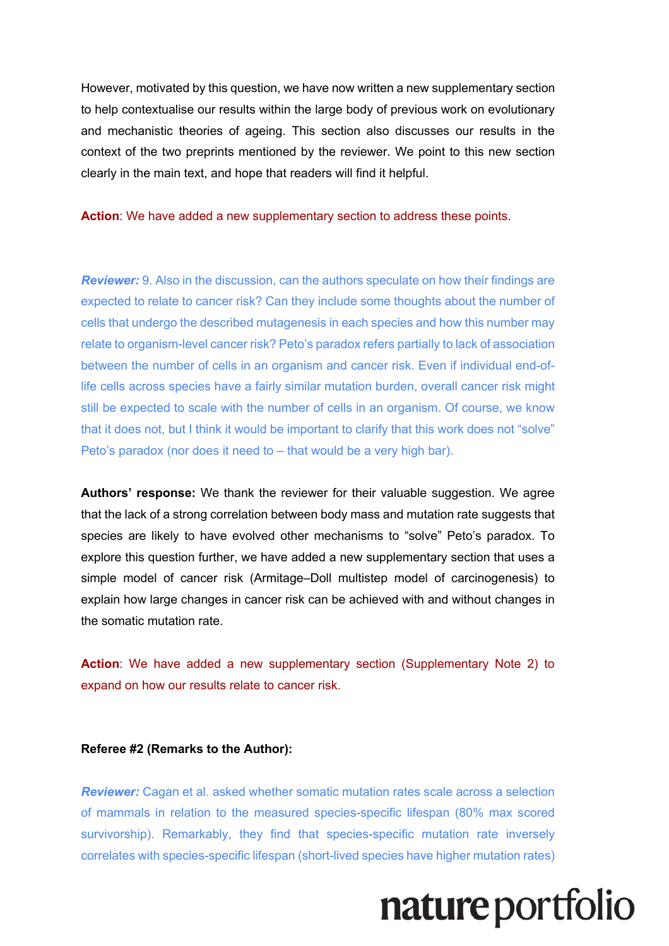However, motivated by this question, we have now written a new supplementary section to help contextualise our results within the large body of previous work on evolutionary and mechanistic theories of ageing. This section also discusses our results in the context of the two preprints mentioned by the reviewer. We point to this new section clearly in the main text, and hope that readers will find it helpful.

**Action**: We have added a new supplementary section to address these points.

*Reviewer:* 9. Also in the discussion, can the authors speculate on how their findings are expected to relate to cancer risk? Can they include some thoughts about the number of cells that undergo the described mutagenesis in each species and how this number may relate to organism-level cancer risk? Peto's paradox refers partially to lack of association between the number of cells in an organism and cancer risk. Even if individual end-oflife cells across species have a fairly similar mutation burden, overall cancer risk might still be expected to scale with the number of cells in an organism. Of course, we know that it does not, but I think it would be important to clarify that this work does not "solve" Peto's paradox (nor does it need to – that would be a very high bar).

**Authors' response:** We thank the reviewer for their valuable suggestion. We agree that the lack of a strong correlation between body mass and mutation rate suggests that species are likely to have evolved other mechanisms to "solve" Peto's paradox. To explore this question further, we have added a new supplementary section that uses a simple model of cancer risk (Armitage–Doll multistep model of carcinogenesis) to explain how large changes in cancer risk can be achieved with and without changes in the somatic mutation rate.

**Action**: We have added a new supplementary section (Supplementary Note 2) to expand on how our results relate to cancer risk.

#### **Referee #2 (Remarks to the Author):**

*Reviewer:* Cagan et al. asked whether somatic mutation rates scale across a selection of mammals in relation to the measured species-specific lifespan (80% max scored survivorship). Remarkably, they find that species-specific mutation rate inversely correlates with species-specific lifespan (short-lived species have higher mutation rates)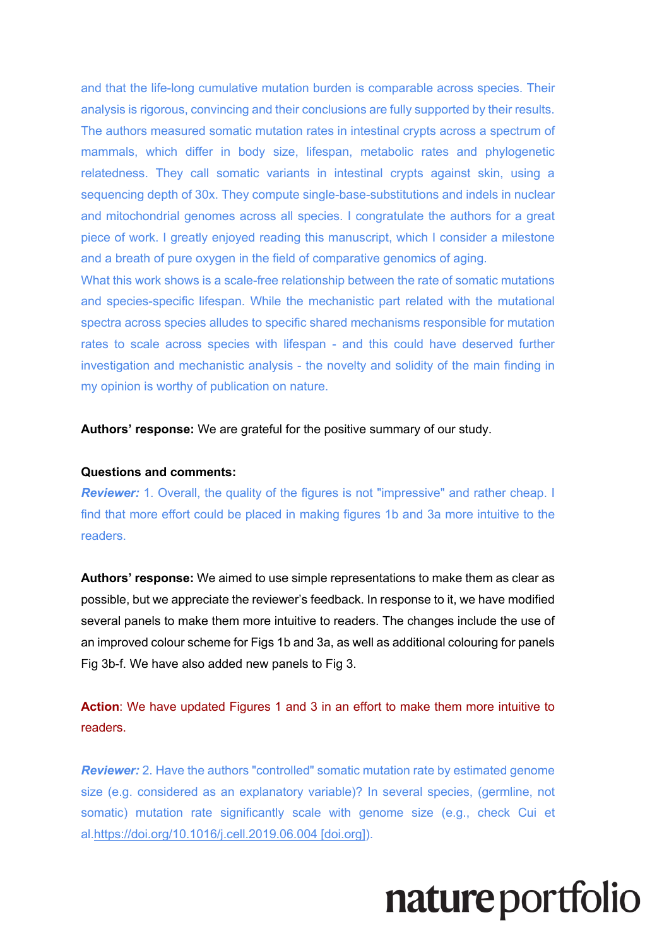and that the life-long cumulative mutation burden is comparable across species. Their analysis is rigorous, convincing and their conclusions are fully supported by their results. The authors measured somatic mutation rates in intestinal crypts across a spectrum of mammals, which differ in body size, lifespan, metabolic rates and phylogenetic relatedness. They call somatic variants in intestinal crypts against skin, using a sequencing depth of 30x. They compute single-base-substitutions and indels in nuclear and mitochondrial genomes across all species. I congratulate the authors for a great piece of work. I greatly enjoyed reading this manuscript, which I consider a milestone and a breath of pure oxygen in the field of comparative genomics of aging.

What this work shows is a scale-free relationship between the rate of somatic mutations and species-specific lifespan. While the mechanistic part related with the mutational spectra across species alludes to specific shared mechanisms responsible for mutation rates to scale across species with lifespan - and this could have deserved further investigation and mechanistic analysis - the novelty and solidity of the main finding in my opinion is worthy of publication on nature.

**Authors' response:** We are grateful for the positive summary of our study.

#### **Questions and comments:**

**Reviewer:** 1. Overall, the quality of the figures is not "impressive" and rather cheap. I find that more effort could be placed in making figures 1b and 3a more intuitive to the readers.

**Authors' response:** We aimed to use simple representations to make them as clear as possible, but we appreciate the reviewer's feedback. In response to it, we have modified several panels to make them more intuitive to readers. The changes include the use of an improved colour scheme for Figs 1b and 3a, as well as additional colouring for panels Fig 3b-f. We have also added new panels to Fig 3.

**Action**: We have updated Figures 1 and 3 in an effort to make them more intuitive to readers.

*Reviewer:* 2. Have the authors "controlled" somatic mutation rate by estimated genome size (e.g. considered as an explanatory variable)? In several species, (germline, not somatic) mutation rate significantly scale with genome size (e.g., check Cui et al.https://doi.org/10.1016/j.cell.2019.06.004 [doi.org]).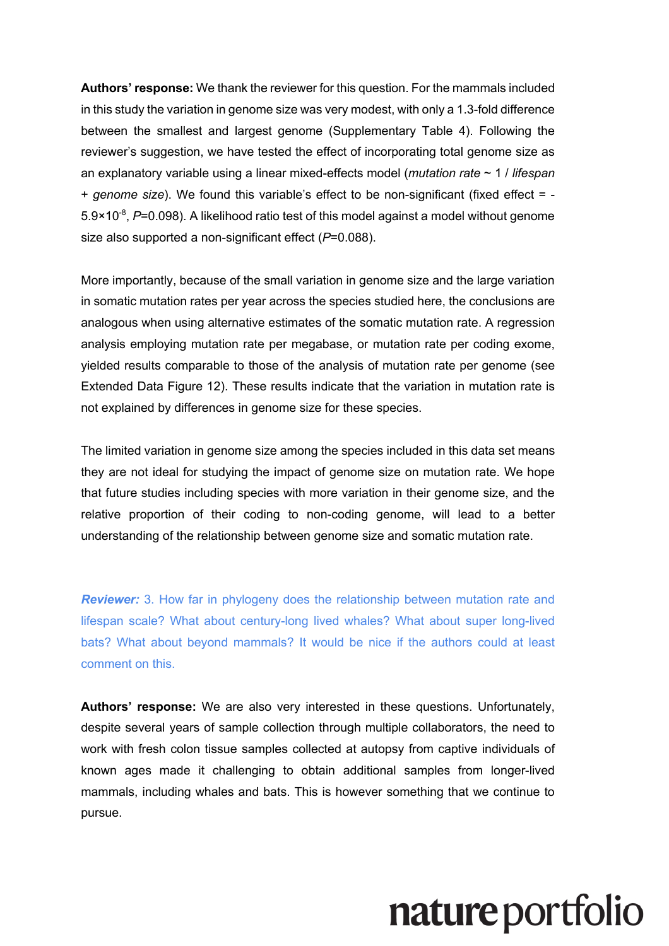**Authors' response:** We thank the reviewer for this question. For the mammals included in this study the variation in genome size was very modest, with only a 1.3-fold difference between the smallest and largest genome (Supplementary Table 4). Following the reviewer's suggestion, we have tested the effect of incorporating total genome size as an explanatory variable using a linear mixed-effects model (*mutation rate* ~ 1 / *lifespan* + *genome size*). We found this variable's effect to be non-significant (fixed effect = - 5.9×10<sup>-8</sup>, P=0.098). A likelihood ratio test of this model against a model without genome size also supported a non-significant effect (*P*=0.088).

More importantly, because of the small variation in genome size and the large variation in somatic mutation rates per year across the species studied here, the conclusions are analogous when using alternative estimates of the somatic mutation rate. A regression analysis employing mutation rate per megabase, or mutation rate per coding exome, yielded results comparable to those of the analysis of mutation rate per genome (see Extended Data Figure 12). These results indicate that the variation in mutation rate is not explained by differences in genome size for these species.

The limited variation in genome size among the species included in this data set means they are not ideal for studying the impact of genome size on mutation rate. We hope that future studies including species with more variation in their genome size, and the relative proportion of their coding to non-coding genome, will lead to a better understanding of the relationship between genome size and somatic mutation rate.

*Reviewer:* 3. How far in phylogeny does the relationship between mutation rate and lifespan scale? What about century-long lived whales? What about super long-lived bats? What about beyond mammals? It would be nice if the authors could at least comment on this.

**Authors' response:** We are also very interested in these questions. Unfortunately, despite several years of sample collection through multiple collaborators, the need to work with fresh colon tissue samples collected at autopsy from captive individuals of known ages made it challenging to obtain additional samples from longer-lived mammals, including whales and bats. This is however something that we continue to pursue.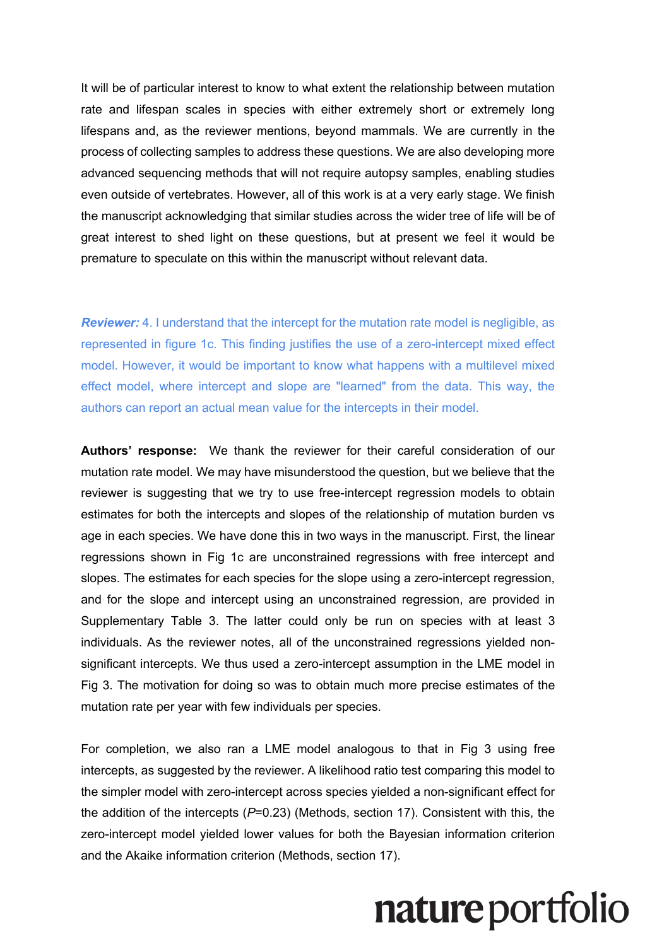It will be of particular interest to know to what extent the relationship between mutation rate and lifespan scales in species with either extremely short or extremely long lifespans and, as the reviewer mentions, beyond mammals. We are currently in the process of collecting samples to address these questions. We are also developing more advanced sequencing methods that will not require autopsy samples, enabling studies even outside of vertebrates. However, all of this work is at a very early stage. We finish the manuscript acknowledging that similar studies across the wider tree of life will be of great interest to shed light on these questions, but at present we feel it would be premature to speculate on this within the manuscript without relevant data.

**Reviewer:** 4. I understand that the intercept for the mutation rate model is negligible, as represented in figure 1c. This finding justifies the use of a zero-intercept mixed effect model. However, it would be important to know what happens with a multilevel mixed effect model, where intercept and slope are "learned" from the data. This way, the authors can report an actual mean value for the intercepts in their model.

**Authors' response:** We thank the reviewer for their careful consideration of our mutation rate model. We may have misunderstood the question, but we believe that the reviewer is suggesting that we try to use free-intercept regression models to obtain estimates for both the intercepts and slopes of the relationship of mutation burden vs age in each species. We have done this in two ways in the manuscript. First, the linear regressions shown in Fig 1c are unconstrained regressions with free intercept and slopes. The estimates for each species for the slope using a zero-intercept regression, and for the slope and intercept using an unconstrained regression, are provided in Supplementary Table 3. The latter could only be run on species with at least 3 individuals. As the reviewer notes, all of the unconstrained regressions yielded nonsignificant intercepts. We thus used a zero-intercept assumption in the LME model in Fig 3. The motivation for doing so was to obtain much more precise estimates of the mutation rate per year with few individuals per species.

For completion, we also ran a LME model analogous to that in Fig 3 using free intercepts, as suggested by the reviewer. A likelihood ratio test comparing this model to the simpler model with zero-intercept across species yielded a non-significant effect for the addition of the intercepts (*P*=0.23) (Methods, section 17). Consistent with this, the zero-intercept model yielded lower values for both the Bayesian information criterion and the Akaike information criterion (Methods, section 17).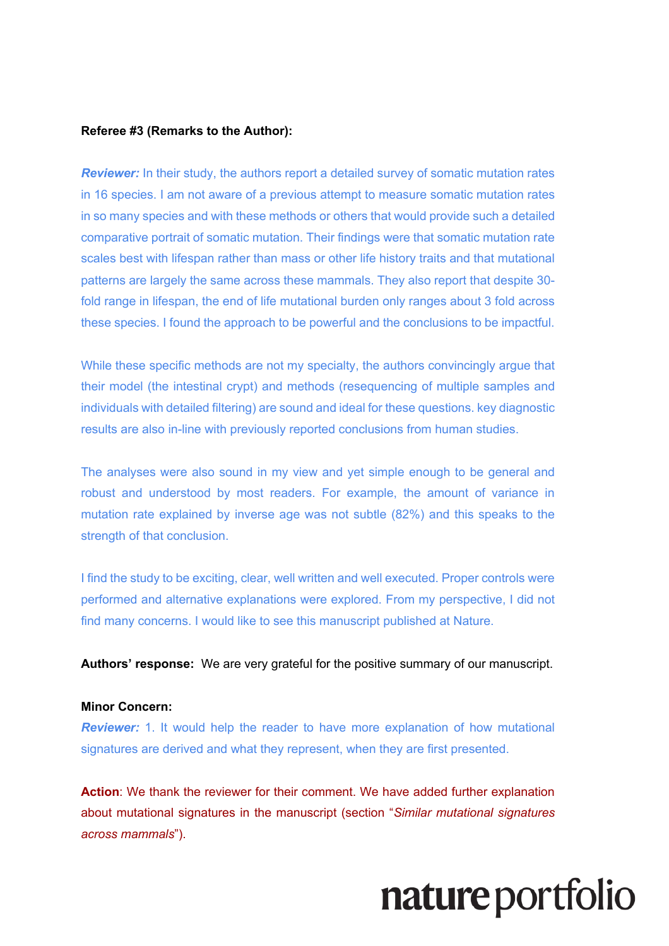#### **Referee #3 (Remarks to the Author):**

*Reviewer:* In their study, the authors report a detailed survey of somatic mutation rates in 16 species. I am not aware of a previous attempt to measure somatic mutation rates in so many species and with these methods or others that would provide such a detailed comparative portrait of somatic mutation. Their findings were that somatic mutation rate scales best with lifespan rather than mass or other life history traits and that mutational patterns are largely the same across these mammals. They also report that despite 30 fold range in lifespan, the end of life mutational burden only ranges about 3 fold across these species. I found the approach to be powerful and the conclusions to be impactful.

While these specific methods are not my specialty, the authors convincingly argue that their model (the intestinal crypt) and methods (resequencing of multiple samples and individuals with detailed filtering) are sound and ideal for these questions. key diagnostic results are also in-line with previously reported conclusions from human studies.

The analyses were also sound in my view and yet simple enough to be general and robust and understood by most readers. For example, the amount of variance in mutation rate explained by inverse age was not subtle (82%) and this speaks to the strength of that conclusion.

I find the study to be exciting, clear, well written and well executed. Proper controls were performed and alternative explanations were explored. From my perspective, I did not find many concerns. I would like to see this manuscript published at Nature.

**Authors' response:** We are very grateful for the positive summary of our manuscript.

#### **Minor Concern:**

*Reviewer:* 1. It would help the reader to have more explanation of how mutational signatures are derived and what they represent, when they are first presented.

**Action**: We thank the reviewer for their comment. We have added further explanation about mutational signatures in the manuscript (section "*Similar mutational signatures across mammals*").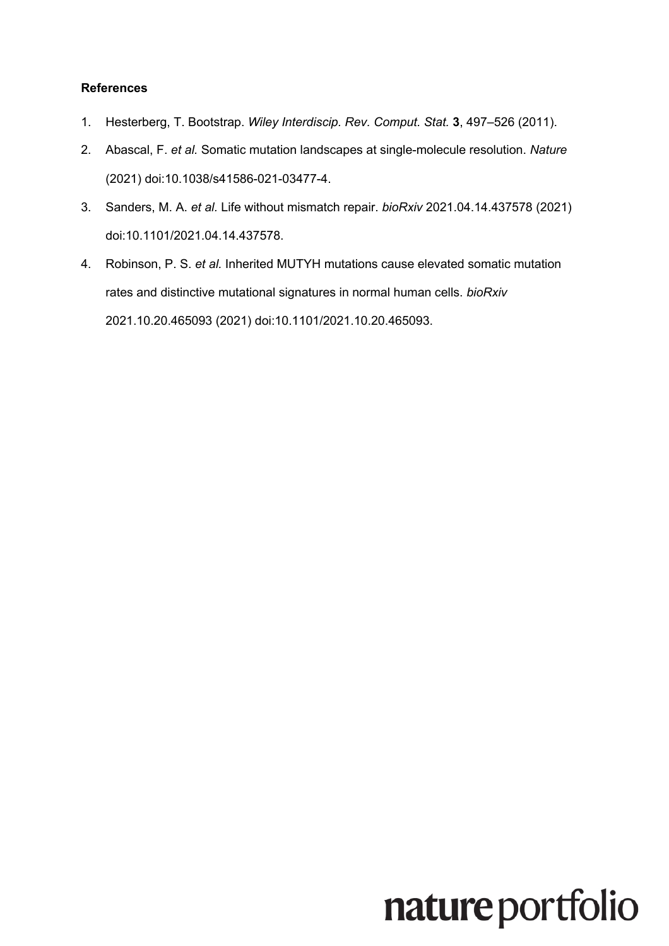### **References**

- 1. Hesterberg, T. Bootstrap. *Wiley Interdiscip. Rev. Comput. Stat.* **3**, 497–526 (2011).
- 2. Abascal, F. *et al.* Somatic mutation landscapes at single-molecule resolution. *Nature* (2021) doi:10.1038/s41586-021-03477-4.
- 3. Sanders, M. A. *et al.* Life without mismatch repair. *bioRxiv* 2021.04.14.437578 (2021) doi:10.1101/2021.04.14.437578.
- 4. Robinson, P. S. *et al.* Inherited MUTYH mutations cause elevated somatic mutation rates and distinctive mutational signatures in normal human cells. *bioRxiv* 2021.10.20.465093 (2021) doi:10.1101/2021.10.20.465093.